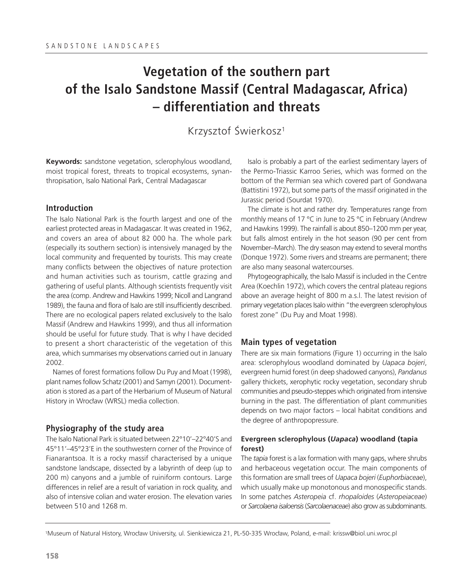# **Vegetation of the southern part of the Isalo Sandstone Massif (Central Madagascar, Africa) – differentiation and threats**

# Krzysztof Świerkosz1

**Keywords:** sandstone vegetation, sclerophylous woodland, moist tropical forest, threats to tropical ecosystems, synanthropisation, Isalo National Park, Central Madagascar

### **Introduction**

The Isalo National Park is the fourth largest and one of the earliest protected areas in Madagascar. It was created in 1962, and covers an area of about 82 000 ha. The whole park (especially its southern section) is intensively managed by the local community and frequented by tourists. This may create many conflicts between the objectives of nature protection and human activities such as tourism, cattle grazing and gathering of useful plants. Although scientists frequently visit the area (comp. Andrew and Hawkins 1999; Nicoll and Langrand 1989), the fauna and flora of Isalo are still insufficiently described. There are no ecological papers related exclusively to the Isalo Massif (Andrew and Hawkins 1999), and thus all information should be useful for future study. That is why I have decided to present a short characteristic of the vegetation of this area, which summarises my observations carried out in January 2002.

Names of forest formations follow Du Puy and Moat (1998), plant names follow Schatz (2001) and Samyn (2001). Documentation is stored as a part of the Herbarium of Museum of Natural History in Wrocław (WRSL) media collection.

# **Physiography of the study area**

The Isalo National Park is situated between 22°10'–22°40'S and 45°11'–45°23'E in the southwestern corner of the Province of Fianarantsoa. It is a rocky massif characterised by a unique sandstone landscape, dissected by a labyrinth of deep (up to 200 m) canyons and a jumble of ruiniform contours. Large differences in relief are a result of variation in rock quality, and also of intensive colian and water erosion. The elevation varies between 510 and 1268 m.

Isalo is probably a part of the earliest sedimentary layers of the Permo-Triassic Karroo Series, which was formed on the bottom of the Permian sea which covered part of Gondwana (Battistini 1972), but some parts of the massif originated in the Jurassic period (Sourdat 1970).

The climate is hot and rather dry. Temperatures range from monthly means of 17 °C in June to 25 °C in February (Andrew and Hawkins 1999). The rainfall is about 850–1200 mm per year, but falls almost entirely in the hot season (90 per cent from November–March). The dry season may extend to several months (Donque 1972). Some rivers and streams are permanent; there are also many seasonal watercourses.

Phytogeographically, the Isalo Massif is included in the Centre Area (Koechlin 1972), which covers the central plateau regions above an average height of 800 m a.s.l. The latest revision of primary vegetation places Isalo within "the evergreen sclerophylous forest zone" (Du Puy and Moat 1998).

# **Main types of vegetation**

There are six main formations (Figure 1) occurring in the Isalo area: sclerophylous woodland dominated by *Uapaca bojeri*, evergreen humid forest (in deep shadowed canyons), *Pandanus* gallery thickets, xerophytic rocky vegetation, secondary shrub communities and pseudo-steppes which originated from intensive burning in the past. The differentiation of plant communities depends on two major factors – local habitat conditions and the degree of anthropopressure.

# **Evergreen sclerophylous (***Uapaca***) woodland (tapia forest)**

The *tapia* forest is a lax formation with many gaps, where shrubs and herbaceous vegetation occur. The main components of this formation are small trees of *Uapaca bojeri* (*Euphorbiaceae*), which usually make up monotonous and monospecific stands. In some patches *Asteropeia* cf. *rhopaloides* (*Asteropeiaceae*) or *Sarcolaena isaloensis*(*Sarcolaenaceae*) also grow as subdominants.

<sup>1</sup>Museum of Natural History, Wrocław University, ul. Sienkiewicza 21, PL-50-335 Wrocław, Poland, e-mail: krissw@biol.uni.wroc.pl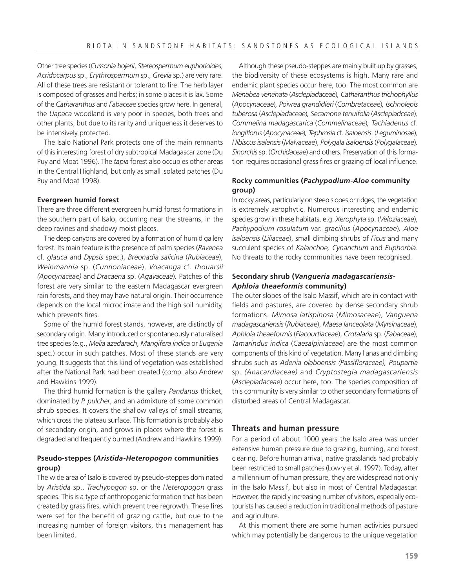Other tree species (*Cussonia bojerii*, *Stereospermum euphorioides*, *Acridocarpus* sp., *Erythrospermum* sp., *Grevia* sp.) are very rare. All of these trees are resistant or tolerant to fire. The herb layer is composed of grasses and herbs; in some places it is lax. Some of the *Catharanthus* and *Fabaceae* species grow here. In general, the *Uapaca* woodland is very poor in species, both trees and other plants, but due to its rarity and uniqueness it deserves to be intensively protected.

The Isalo National Park protects one of the main remnants of this interesting forest of dry subtropical Madagascar zone (Du Puy and Moat 1996). The *tapia* forest also occupies other areas in the Central Highland, but only as small isolated patches (Du Puy and Moat 1998).

#### **Evergreen humid forest**

There are three different evergreen humid forest formations in the southern part of Isalo, occurring near the streams, in the deep ravines and shadowy moist places.

The deep canyons are covered by a formation of humid gallery forest. Its main feature is the presence of palm species (*Ravenea* cf. *glauca* and *Dypsis* spec.), *Breonadia salicina* (*Rubiaceae*), *Weinmannia* sp. (*Cunnoniaceae*), *Voacanga* cf. *thouarsii (Apocynaceae)* and *Dracaena* sp. (*Agavaceae*)*.* Patches of this forest are very similar to the eastern Madagascar evergreen rain forests, and they may have natural origin. Their occurrence depends on the local microclimate and the high soil humidity, which prevents fires.

Some of the humid forest stands, however, are distinctly of secondary origin. Many introduced or spontaneously naturalised tree species (e.g., *Melia azedarach*, *Mangifera indica* or *Eugenia* spec.) occur in such patches. Most of these stands are very young. It suggests that this kind of vegetation was established after the National Park had been created (comp. also Andrew and Hawkins 1999).

The third humid formation is the gallery *Pandanus* thicket, dominated by *P. pulcher*, and an admixture of some common shrub species. It covers the shallow valleys of small streams, which cross the plateau surface. This formation is probably also of secondary origin, and grows in places where the forest is degraded and frequently burned (Andrew and Hawkins 1999).

# **Pseudo-steppes (***Aristida-Heteropogon* **communities group)**

The wide area of Isalo is covered by pseudo-steppes dominated by *Aristida* sp., *Trachypogon* sp. or the *Heteropogon* grass species. This is a type of anthropogenic formation that has been created by grass fires, which prevent tree regrowth. These fires were set for the benefit of grazing cattle, but due to the increasing number of foreign visitors, this management has been limited.

Although these pseudo-steppes are mainly built up by grasses, the biodiversity of these ecosystems is high. Many rare and endemic plant species occur here, too. The most common are *Menabea venenata* (*Asclepiadaceae*)*, Catharanthus trichophyllus* (*Apocynaceae*)*, Poivrea grandidieri* (*Combretaceae*)*, Ischnolepis tuberosa* (*Asclepiadaceae*)*, Secamone tenuifolia* (*Asclepiadceae*)*, Commelina madagascarica* (*Commelinaceae*)*, Tachiadenus* cf. *longiflorus* (*Apocynaceae*)*, Tephrosia* cf. *isaloensis.* (*Leguminosae*)*, Hibiscus isalensis* (*Malvaceae*), *Polygala isaloensis* (*Polygalaceae*)*, Sinorchis* sp. (*Orchidaceae*) and others. Preservation of this formation requires occasional grass fires or grazing of local influence.

# **Rocky communities (***Pachypodium-Aloe* **community group)**

In rocky areas, particularly on steep slopes or ridges, the vegetation is extremely xerophytic. Numerous interesting and endemic species grow in these habitats, e.g. *Xerophyta* sp. (*Veloziaceae*), *Pachypodium rosulatum* var. *gracilius* (*Apocynaceae*)*, Aloe isaloensis* (*Liliaceae*), small climbing shrubs of *Ficus* and many succulent species of *Kalanchoe, Cynanchum* and *Euphorbia*. No threats to the rocky communities have been recognised.

#### **Secondary shrub (***Vangueria madagascariensis-Aphloia theaeformis* **community)**

The outer slopes of the Isalo Massif, which are in contact with fields and pastures, are covered by dense secondary shrub formations. *Mimosa latispinosa* (*Mimosaceae*), *Vangueria madagascariensis* (*Rubiaceae*), *Maesa lanceolata* (*Myrsinaceae*), *Aphloia theaeformis* (*Flacourtiaceae*), *Crotalaria* sp. (*Fabaceae*), *Tamarindus indica* (*Caesalpiniaceae*) are the most common components of this kind of vegetation. Many lianas and climbing shrubs such as *Adenia olaboensis (Passifloraceae), Poupartia* sp. *(Anacardiaceae)* and *Cryptostegia madagascariensis* (*Asclepiadaceae*) occur here, too. The species composition of this community is very similar to other secondary formations of disturbed areas of Central Madagascar.

#### **Threats and human pressure**

For a period of about 1000 years the Isalo area was under extensive human pressure due to grazing, burning, and forest clearing. Before human arrival, native grasslands had probably been restricted to small patches (Lowry et al. 1997). Today, after a millennium of human pressure, they are widespread not only in the Isalo Massif, but also in most of Central Madagascar. However, the rapidly increasing number of visitors, especially ecotourists has caused a reduction in traditional methods of pasture and agriculture.

At this moment there are some human activities pursued which may potentially be dangerous to the unique vegetation